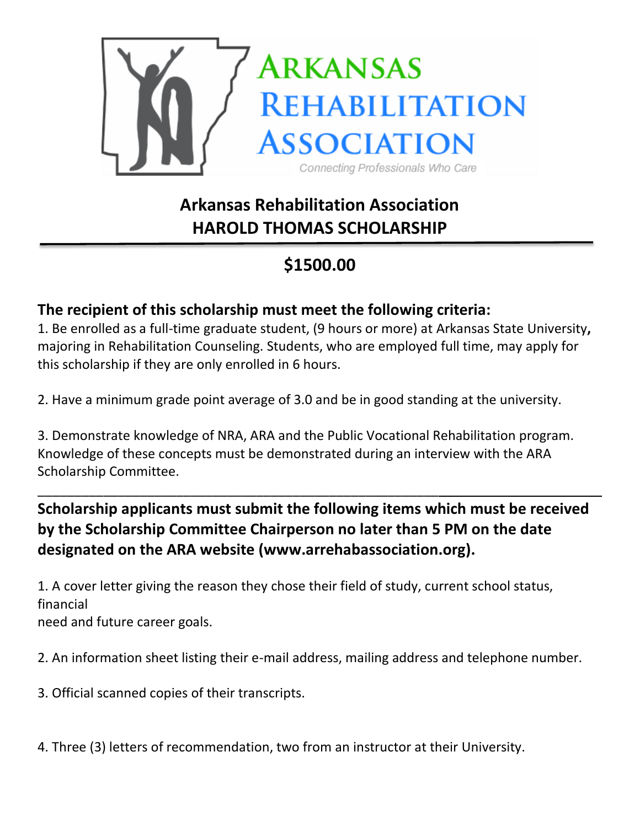

# **Arkansas Rehabilitation Association HAROLD THOMAS SCHOLARSHIP**

## **\$1500.00**

#### **The recipient of this scholarship must meet the following criteria:**

\_\_\_\_\_\_\_\_\_\_\_\_\_\_\_\_\_\_\_\_\_\_\_\_\_\_\_\_\_\_\_\_\_\_\_\_\_\_\_\_\_\_\_\_\_\_\_\_\_\_\_\_\_\_\_

1. Be enrolled as a full-time graduate student, (9 hours or more) at Arkansas State University**,** majoring in Rehabilitation Counseling. Students, who are employed full time, may apply for this scholarship if they are only enrolled in 6 hours.

2. Have a minimum grade point average of 3.0 and be in good standing at the university.

3. Demonstrate knowledge of NRA, ARA and the Public Vocational Rehabilitation program. Knowledge of these concepts must be demonstrated during an interview with the ARA Scholarship Committee.

#### **Scholarship applicants must submit the following items which must be received by the Scholarship Committee Chairperson no later than 5 PM on the date designated on the ARA website (www.arrehabassociation.org).**

1. A cover letter giving the reason they chose their field of study, current school status, financial

need and future career goals.

2. An information sheet listing their e-mail address, mailing address and telephone number.

3. Official scanned copies of their transcripts.

4. Three (3) letters of recommendation, two from an instructor at their University.